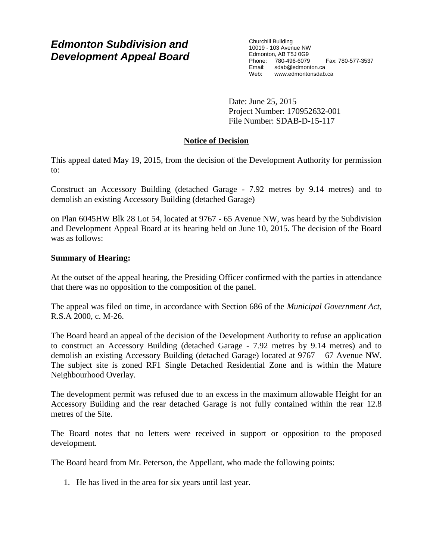# *Edmonton Subdivision and Development Appeal Board*

Churchill Building 10019 - 103 Avenue NW Edmonton, AB T5J 0G9 Phone: 780-496-6079 Fax: 780-577-3537 Email: sdab@edmonton.ca Web: www.edmontonsdab.ca

Date: June 25, 2015 Project Number: 170952632-001 File Number: SDAB-D-15-117

# **Notice of Decision**

This appeal dated May 19, 2015, from the decision of the Development Authority for permission to:

Construct an Accessory Building (detached Garage - 7.92 metres by 9.14 metres) and to demolish an existing Accessory Building (detached Garage)

on Plan 6045HW Blk 28 Lot 54, located at 9767 - 65 Avenue NW, was heard by the Subdivision and Development Appeal Board at its hearing held on June 10, 2015. The decision of the Board was as follows:

## **Summary of Hearing:**

At the outset of the appeal hearing, the Presiding Officer confirmed with the parties in attendance that there was no opposition to the composition of the panel.

The appeal was filed on time, in accordance with Section 686 of the *Municipal Government Act*, R.S.A 2000, c. M-26.

The Board heard an appeal of the decision of the Development Authority to refuse an application to construct an Accessory Building (detached Garage - 7.92 metres by 9.14 metres) and to demolish an existing Accessory Building (detached Garage) located at 9767 – 67 Avenue NW. The subject site is zoned RF1 Single Detached Residential Zone and is within the Mature Neighbourhood Overlay.

The development permit was refused due to an excess in the maximum allowable Height for an Accessory Building and the rear detached Garage is not fully contained within the rear 12.8 metres of the Site.

The Board notes that no letters were received in support or opposition to the proposed development.

The Board heard from Mr. Peterson, the Appellant, who made the following points:

1. He has lived in the area for six years until last year.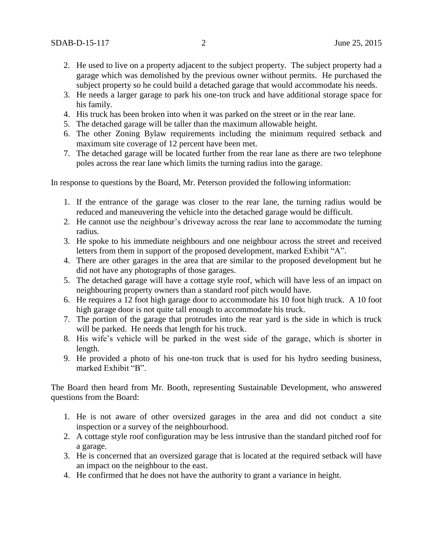- 2. He used to live on a property adjacent to the subject property. The subject property had a garage which was demolished by the previous owner without permits. He purchased the subject property so he could build a detached garage that would accommodate his needs.
- 3. He needs a larger garage to park his one-ton truck and have additional storage space for his family.
- 4. His truck has been broken into when it was parked on the street or in the rear lane.
- 5. The detached garage will be taller than the maximum allowable height.
- 6. The other Zoning Bylaw requirements including the minimum required setback and maximum site coverage of 12 percent have been met.
- 7. The detached garage will be located further from the rear lane as there are two telephone poles across the rear lane which limits the turning radius into the garage.

In response to questions by the Board, Mr. Peterson provided the following information:

- 1. If the entrance of the garage was closer to the rear lane, the turning radius would be reduced and maneuvering the vehicle into the detached garage would be difficult.
- 2. He cannot use the neighbour's driveway across the rear lane to accommodate the turning radius.
- 3. He spoke to his immediate neighbours and one neighbour across the street and received letters from them in support of the proposed development, marked Exhibit "A".
- 4. There are other garages in the area that are similar to the proposed development but he did not have any photographs of those garages.
- 5. The detached garage will have a cottage style roof, which will have less of an impact on neighbouring property owners than a standard roof pitch would have.
- 6. He requires a 12 foot high garage door to accommodate his 10 foot high truck. A 10 foot high garage door is not quite tall enough to accommodate his truck.
- 7. The portion of the garage that protrudes into the rear yard is the side in which is truck will be parked. He needs that length for his truck.
- 8. His wife's vehicle will be parked in the west side of the garage, which is shorter in length.
- 9. He provided a photo of his one-ton truck that is used for his hydro seeding business, marked Exhibit "B".

The Board then heard from Mr. Booth, representing Sustainable Development, who answered questions from the Board:

- 1. He is not aware of other oversized garages in the area and did not conduct a site inspection or a survey of the neighbourhood.
- 2. A cottage style roof configuration may be less intrusive than the standard pitched roof for a garage.
- 3. He is concerned that an oversized garage that is located at the required setback will have an impact on the neighbour to the east.
- 4. He confirmed that he does not have the authority to grant a variance in height.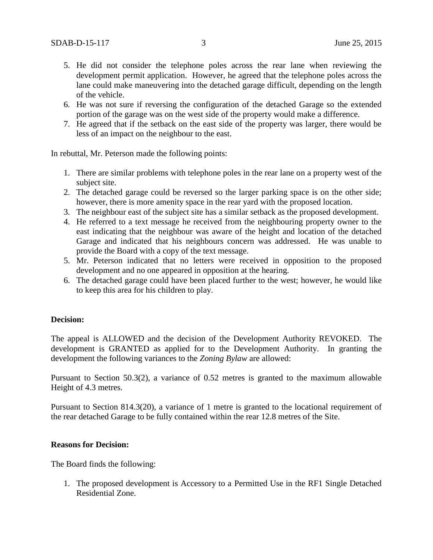- 5. He did not consider the telephone poles across the rear lane when reviewing the development permit application. However, he agreed that the telephone poles across the lane could make maneuvering into the detached garage difficult, depending on the length of the vehicle.
- 6. He was not sure if reversing the configuration of the detached Garage so the extended portion of the garage was on the west side of the property would make a difference.
- 7. He agreed that if the setback on the east side of the property was larger, there would be less of an impact on the neighbour to the east.

In rebuttal, Mr. Peterson made the following points:

- 1. There are similar problems with telephone poles in the rear lane on a property west of the subject site.
- 2. The detached garage could be reversed so the larger parking space is on the other side; however, there is more amenity space in the rear yard with the proposed location.
- 3. The neighbour east of the subject site has a similar setback as the proposed development.
- 4. He referred to a text message he received from the neighbouring property owner to the east indicating that the neighbour was aware of the height and location of the detached Garage and indicated that his neighbours concern was addressed. He was unable to provide the Board with a copy of the text message.
- 5. Mr. Peterson indicated that no letters were received in opposition to the proposed development and no one appeared in opposition at the hearing.
- 6. The detached garage could have been placed further to the west; however, he would like to keep this area for his children to play.

### **Decision:**

The appeal is ALLOWED and the decision of the Development Authority REVOKED. The development is GRANTED as applied for to the Development Authority. In granting the development the following variances to the *Zoning Bylaw* are allowed:

Pursuant to Section 50.3(2), a variance of 0.52 metres is granted to the maximum allowable Height of 4.3 metres.

Pursuant to Section 814.3(20), a variance of 1 metre is granted to the locational requirement of the rear detached Garage to be fully contained within the rear 12.8 metres of the Site.

### **Reasons for Decision:**

The Board finds the following:

1. The proposed development is Accessory to a Permitted Use in the RF1 Single Detached Residential Zone.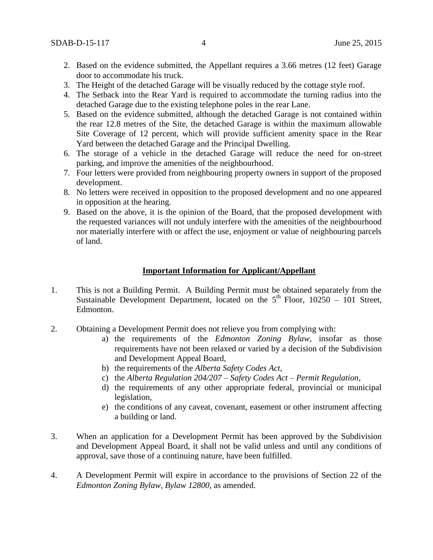- 2. Based on the evidence submitted, the Appellant requires a 3.66 metres (12 feet) Garage door to accommodate his truck.
- 3. The Height of the detached Garage will be visually reduced by the cottage style roof.
- 4. The Setback into the Rear Yard is required to accommodate the turning radius into the detached Garage due to the existing telephone poles in the rear Lane.
- 5. Based on the evidence submitted, although the detached Garage is not contained within the rear 12.8 metres of the Site, the detached Garage is within the maximum allowable Site Coverage of 12 percent, which will provide sufficient amenity space in the Rear Yard between the detached Garage and the Principal Dwelling.
- 6. The storage of a vehicle in the detached Garage will reduce the need for on-street parking, and improve the amenities of the neighbourhood.
- 7. Four letters were provided from neighbouring property owners in support of the proposed development.
- 8. No letters were received in opposition to the proposed development and no one appeared in opposition at the hearing.
- 9. Based on the above, it is the opinion of the Board, that the proposed development with the requested variances will not unduly interfere with the amenities of the neighbourhood nor materially interfere with or affect the use, enjoyment or value of neighbouring parcels of land.

### **Important Information for Applicant/Appellant**

- 1. This is not a Building Permit. A Building Permit must be obtained separately from the Sustainable Development Department, located on the  $5<sup>th</sup>$  Floor, 10250 – 101 Street, Edmonton.
- 2. Obtaining a Development Permit does not relieve you from complying with:
	- a) the requirements of the *Edmonton Zoning Bylaw*, insofar as those requirements have not been relaxed or varied by a decision of the Subdivision and Development Appeal Board,
	- b) the requirements of the *Alberta Safety Codes Act*,
	- c) the *Alberta Regulation 204/207 – Safety Codes Act – Permit Regulation*,
	- d) the requirements of any other appropriate federal, provincial or municipal legislation,
	- e) the conditions of any caveat, covenant, easement or other instrument affecting a building or land.
- 3. When an application for a Development Permit has been approved by the Subdivision and Development Appeal Board, it shall not be valid unless and until any conditions of approval, save those of a continuing nature, have been fulfilled.
- 4. A Development Permit will expire in accordance to the provisions of Section 22 of the *Edmonton Zoning Bylaw, Bylaw 12800*, as amended.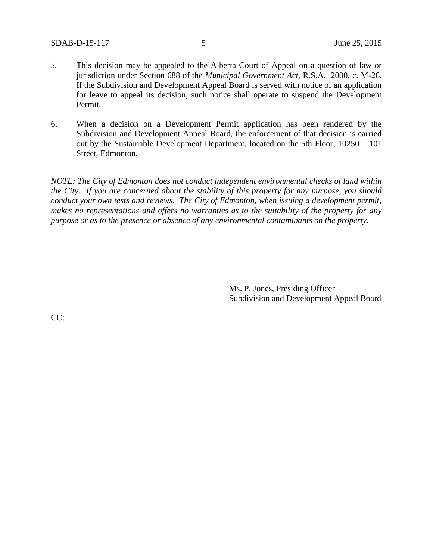- 5. This decision may be appealed to the Alberta Court of Appeal on a question of law or jurisdiction under Section 688 of the *Municipal Government Act*, R.S.A. 2000, c. M-26. If the Subdivision and Development Appeal Board is served with notice of an application for leave to appeal its decision, such notice shall operate to suspend the Development Permit.
- 6. When a decision on a Development Permit application has been rendered by the Subdivision and Development Appeal Board, the enforcement of that decision is carried out by the Sustainable Development Department, located on the 5th Floor, 10250 – 101 Street, Edmonton.

*NOTE: The City of Edmonton does not conduct independent environmental checks of land within the City. If you are concerned about the stability of this property for any purpose, you should conduct your own tests and reviews. The City of Edmonton, when issuing a development permit, makes no representations and offers no warranties as to the suitability of the property for any purpose or as to the presence or absence of any environmental contaminants on the property.*

> Ms. P. Jones, Presiding Officer Subdivision and Development Appeal Board

CC: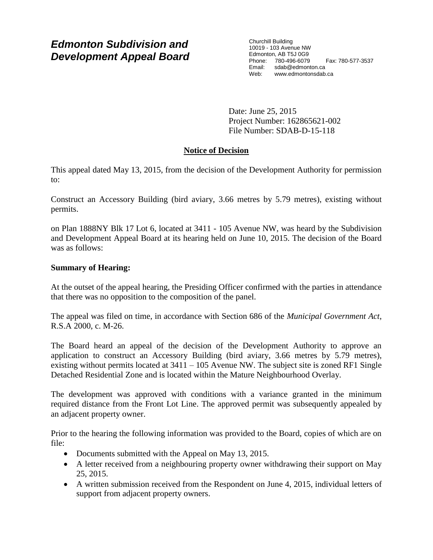# *Edmonton Subdivision and Development Appeal Board*

Churchill Building 10019 - 103 Avenue NW Edmonton, AB T5J 0G9 Phone: 780-496-6079 Fax: 780-577-3537 Email: sdab@edmonton.ca Web: www.edmontonsdab.ca

Date: June 25, 2015 Project Number: 162865621-002 File Number: SDAB-D-15-118

# **Notice of Decision**

This appeal dated May 13, 2015, from the decision of the Development Authority for permission to:

Construct an Accessory Building (bird aviary, 3.66 metres by 5.79 metres), existing without permits.

on Plan 1888NY Blk 17 Lot 6, located at 3411 - 105 Avenue NW, was heard by the Subdivision and Development Appeal Board at its hearing held on June 10, 2015. The decision of the Board was as follows:

## **Summary of Hearing:**

At the outset of the appeal hearing, the Presiding Officer confirmed with the parties in attendance that there was no opposition to the composition of the panel.

The appeal was filed on time, in accordance with Section 686 of the *Municipal Government Act*, R.S.A 2000, c. M-26.

The Board heard an appeal of the decision of the Development Authority to approve an application to construct an Accessory Building (bird aviary, 3.66 metres by 5.79 metres), existing without permits located at  $3411 - 105$  Avenue NW. The subject site is zoned RF1 Single Detached Residential Zone and is located within the Mature Neighbourhood Overlay.

The development was approved with conditions with a variance granted in the minimum required distance from the Front Lot Line. The approved permit was subsequently appealed by an adjacent property owner.

Prior to the hearing the following information was provided to the Board, copies of which are on file:

- Documents submitted with the Appeal on May 13, 2015.
- A letter received from a neighbouring property owner withdrawing their support on May 25, 2015.
- A written submission received from the Respondent on June 4, 2015, individual letters of support from adjacent property owners.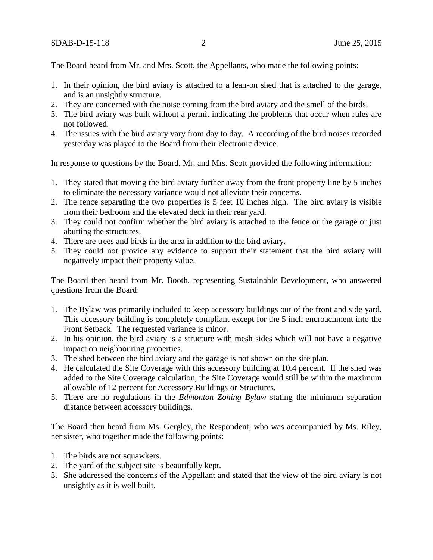The Board heard from Mr. and Mrs. Scott, the Appellants, who made the following points:

- 1. In their opinion, the bird aviary is attached to a lean-on shed that is attached to the garage, and is an unsightly structure.
- 2. They are concerned with the noise coming from the bird aviary and the smell of the birds.
- 3. The bird aviary was built without a permit indicating the problems that occur when rules are not followed.
- 4. The issues with the bird aviary vary from day to day. A recording of the bird noises recorded yesterday was played to the Board from their electronic device.

In response to questions by the Board, Mr. and Mrs. Scott provided the following information:

- 1. They stated that moving the bird aviary further away from the front property line by 5 inches to eliminate the necessary variance would not alleviate their concerns.
- 2. The fence separating the two properties is 5 feet 10 inches high. The bird aviary is visible from their bedroom and the elevated deck in their rear yard.
- 3. They could not confirm whether the bird aviary is attached to the fence or the garage or just abutting the structures.
- 4. There are trees and birds in the area in addition to the bird aviary.
- 5. They could not provide any evidence to support their statement that the bird aviary will negatively impact their property value.

The Board then heard from Mr. Booth, representing Sustainable Development, who answered questions from the Board:

- 1. The Bylaw was primarily included to keep accessory buildings out of the front and side yard. This accessory building is completely compliant except for the 5 inch encroachment into the Front Setback. The requested variance is minor.
- 2. In his opinion, the bird aviary is a structure with mesh sides which will not have a negative impact on neighbouring properties.
- 3. The shed between the bird aviary and the garage is not shown on the site plan.
- 4. He calculated the Site Coverage with this accessory building at 10.4 percent. If the shed was added to the Site Coverage calculation, the Site Coverage would still be within the maximum allowable of 12 percent for Accessory Buildings or Structures.
- 5. There are no regulations in the *Edmonton Zoning Bylaw* stating the minimum separation distance between accessory buildings.

The Board then heard from Ms. Gergley, the Respondent, who was accompanied by Ms. Riley, her sister, who together made the following points:

- 1. The birds are not squawkers.
- 2. The yard of the subject site is beautifully kept.
- 3. She addressed the concerns of the Appellant and stated that the view of the bird aviary is not unsightly as it is well built.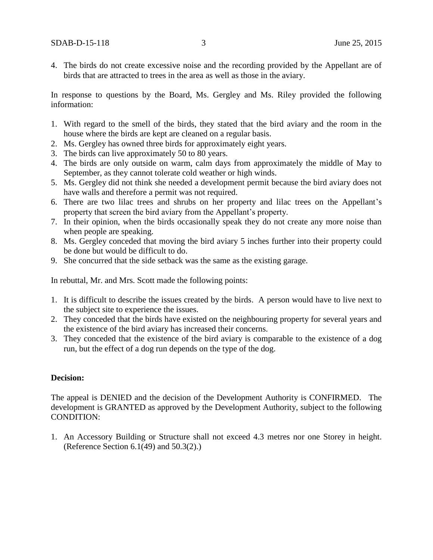4. The birds do not create excessive noise and the recording provided by the Appellant are of birds that are attracted to trees in the area as well as those in the aviary.

In response to questions by the Board, Ms. Gergley and Ms. Riley provided the following information:

- 1. With regard to the smell of the birds, they stated that the bird aviary and the room in the house where the birds are kept are cleaned on a regular basis.
- 2. Ms. Gergley has owned three birds for approximately eight years.
- 3. The birds can live approximately 50 to 80 years.
- 4. The birds are only outside on warm, calm days from approximately the middle of May to September, as they cannot tolerate cold weather or high winds.
- 5. Ms. Gergley did not think she needed a development permit because the bird aviary does not have walls and therefore a permit was not required.
- 6. There are two lilac trees and shrubs on her property and lilac trees on the Appellant's property that screen the bird aviary from the Appellant's property.
- 7. In their opinion, when the birds occasionally speak they do not create any more noise than when people are speaking.
- 8. Ms. Gergley conceded that moving the bird aviary 5 inches further into their property could be done but would be difficult to do.
- 9. She concurred that the side setback was the same as the existing garage.

In rebuttal, Mr. and Mrs. Scott made the following points:

- 1. It is difficult to describe the issues created by the birds. A person would have to live next to the subject site to experience the issues.
- 2. They conceded that the birds have existed on the neighbouring property for several years and the existence of the bird aviary has increased their concerns.
- 3. They conceded that the existence of the bird aviary is comparable to the existence of a dog run, but the effect of a dog run depends on the type of the dog.

### **Decision:**

The appeal is DENIED and the decision of the Development Authority is CONFIRMED. The development is GRANTED as approved by the Development Authority, subject to the following CONDITION:

1. An Accessory Building or Structure shall not exceed 4.3 metres nor one Storey in height. (Reference Section 6.1(49) and 50.3(2).)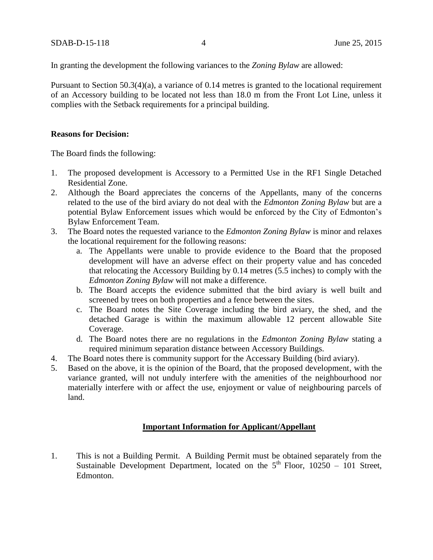In granting the development the following variances to the *Zoning Bylaw* are allowed:

Pursuant to Section 50.3(4)(a), a variance of 0.14 metres is granted to the locational requirement of an Accessory building to be located not less than 18.0 m from the Front Lot Line, unless it complies with the Setback requirements for a principal building.

### **Reasons for Decision:**

The Board finds the following:

- 1. The proposed development is Accessory to a Permitted Use in the RF1 Single Detached Residential Zone.
- 2. Although the Board appreciates the concerns of the Appellants, many of the concerns related to the use of the bird aviary do not deal with the *Edmonton Zoning Bylaw* but are a potential Bylaw Enforcement issues which would be enforced by the City of Edmonton's Bylaw Enforcement Team.
- 3. The Board notes the requested variance to the *Edmonton Zoning Bylaw* is minor and relaxes the locational requirement for the following reasons:
	- a. The Appellants were unable to provide evidence to the Board that the proposed development will have an adverse effect on their property value and has conceded that relocating the Accessory Building by 0.14 metres (5.5 inches) to comply with the *Edmonton Zoning Bylaw* will not make a difference.
	- b. The Board accepts the evidence submitted that the bird aviary is well built and screened by trees on both properties and a fence between the sites.
	- c. The Board notes the Site Coverage including the bird aviary, the shed, and the detached Garage is within the maximum allowable 12 percent allowable Site Coverage.
	- d. The Board notes there are no regulations in the *Edmonton Zoning Bylaw* stating a required minimum separation distance between Accessory Buildings.
- 4. The Board notes there is community support for the Accessary Building (bird aviary).
- 5. Based on the above, it is the opinion of the Board, that the proposed development, with the variance granted, will not unduly interfere with the amenities of the neighbourhood nor materially interfere with or affect the use, enjoyment or value of neighbouring parcels of land.

### **Important Information for Applicant/Appellant**

1. This is not a Building Permit. A Building Permit must be obtained separately from the Sustainable Development Department, located on the  $5<sup>th</sup>$  Floor, 10250 – 101 Street, Edmonton.